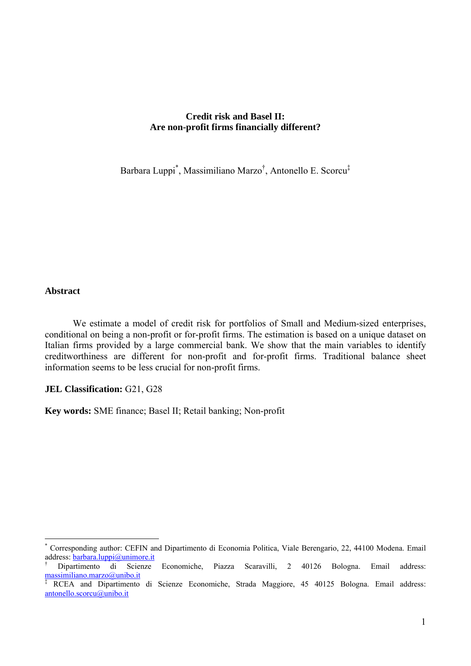# **Credit risk and Basel II: Are non-profit firms financially different?**

Barbara Luppi\* , Massimiliano Marzo† , Antonello E. Scorcu‡

### **Abstract**

 $\overline{a}$ 

 We estimate a model of credit risk for portfolios of Small and Medium-sized enterprises, conditional on being a non-profit or for-profit firms. The estimation is based on a unique dataset on Italian firms provided by a large commercial bank. We show that the main variables to identify creditworthiness are different for non-profit and for-profit firms. Traditional balance sheet information seems to be less crucial for non-profit firms.

#### **JEL Classification: G21, G28**

**Key words:** SME finance; Basel II; Retail banking; Non-profit

<sup>\*</sup> Corresponding author: CEFIN and Dipartimento di Economia Politica, Viale Berengario, 22, 44100 Modena. Email address: **barbara.luppi@unimore.it**<br><sup>†</sup> Dipartimento di Scienze

<sup>†</sup> Economiche, Piazza Scaravilli, 2 40126 Bologna. Email address: massimiliano.marzo@unibo.it

<sup>‡</sup> RCEA and Dipartimento di Scienze Economiche, Strada Maggiore, 45 40125 Bologna. Email address: antonello.scorcu@unibo.it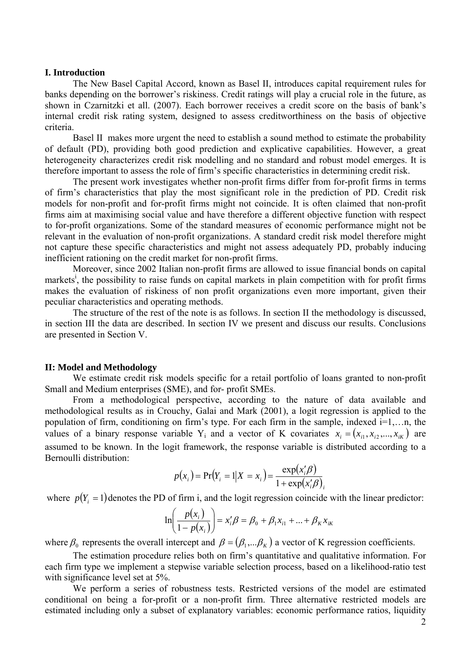#### **I. Introduction**

 The New Basel Capital Accord, known as Basel II, introduces capital requirement rules for banks depending on the borrower's riskiness. Credit ratings will play a crucial role in the future, as shown in Czarnitzki et all. (2007). Each borrower receives a credit score on the basis of bank's internal credit risk rating system, designed to assess creditworthiness on the basis of objective criteria.

 Basel II makes more urgent the need to establish a sound method to estimate the probability of default (PD), providing both good prediction and explicative capabilities. However, a great heterogeneity characterizes credit risk modelling and no standard and robust model emerges. It is therefore important to assess the role of firm's specific characteristics in determining credit risk.

 The present work investigates whether non-profit firms differ from for-profit firms in terms of firm's characteristics that play the most significant role in the prediction of PD. Credit risk models for non-profit and for-profit firms might not coincide. It is often claimed that non-profit firms aim at maximising social value and have therefore a different objective function with respect to for-profit organizations. Some of the standard measures of economic performance might not be relevant in the evaluation of non-profit organizations. A standard credit risk model therefore might not capture these specific characteristics and might not assess adequately PD, probably inducing inefficient rationing on the credit market for non-profit firms.

Moreover, since 2002 Italian non-profit firms are allowed to issue financial bonds on capital markets<sup>i</sup>, the possibility to raise funds on capital markets in plain competition with for profit firms makes the evaluation of riskiness of non profit organizations even more important, given their peculiar characteristics and operating methods.

 The structure of the rest of the note is as follows. In section II the methodology is discussed, in section III the data are described. In section IV we present and discuss our results. Conclusions are presented in Section V.

#### **II: Model and Methodology**

We estimate credit risk models specific for a retail portfolio of loans granted to non-profit Small and Medium enterprises (SME), and for- profit SMEs.

From a methodological perspective, according to the nature of data available and methodological results as in Crouchy, Galai and Mark (2001), a logit regression is applied to the population of firm, conditioning on firm's type. For each firm in the sample, indexed i=1,…n, the values of a binary response variable Y<sub>i</sub> and a vector of K covariates  $x_i = (x_{i1}, x_{i2},..., x_{iK})$  are assumed to be known. In the logit framework, the response variable is distributed according to a Bernoulli distribution:

$$
p(x_i) = Pr(Y_i = 1 | X = x_i) = \frac{exp(x'_i \beta)}{1 + exp(x'_i \beta)}.
$$

where  $p(Y_i = 1)$  denotes the PD of firm i, and the logit regression coincide with the linear predictor:

$$
\ln\left(\frac{p(x_i)}{1 - p(x_i)}\right) = x'_i \beta = \beta_0 + \beta_1 x_{i1} + \dots + \beta_K x_{iK}
$$

where  $\beta_0$  represents the overall intercept and  $\beta = (\beta_1, \dots, \beta_K)$  a vector of K regression coefficients.

 The estimation procedure relies both on firm's quantitative and qualitative information. For each firm type we implement a stepwise variable selection process, based on a likelihood-ratio test with significance level set at 5%.

 We perform a series of robustness tests. Restricted versions of the model are estimated conditional on being a for-profit or a non-profit firm. Three alternative restricted models are estimated including only a subset of explanatory variables: economic performance ratios, liquidity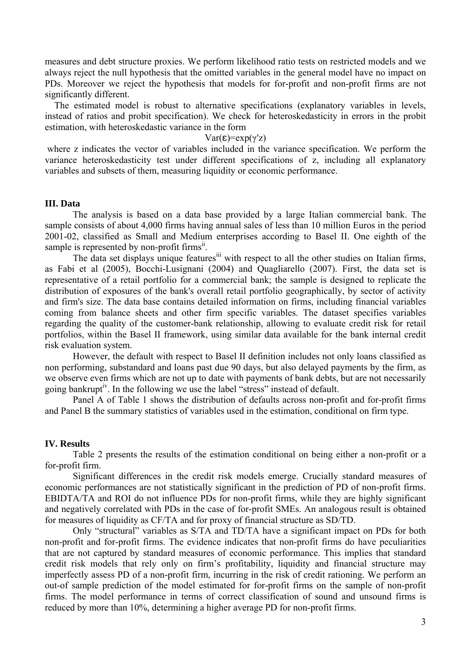measures and debt structure proxies. We perform likelihood ratio tests on restricted models and we always reject the null hypothesis that the omitted variables in the general model have no impact on PDs. Moreover we reject the hypothesis that models for for-profit and non-profit firms are not significantly different.

 The estimated model is robust to alternative specifications (explanatory variables in levels, instead of ratios and probit specification). We check for heteroskedasticity in errors in the probit estimation, with heteroskedastic variance in the form

### Var(ε)=exp(γ'z)

 where z indicates the vector of variables included in the variance specification. We perform the variance heteroskedasticity test under different specifications of z, including all explanatory variables and subsets of them, measuring liquidity or economic performance.

## **III. Data**

 The analysis is based on a data base provided by a large Italian commercial bank. The sample consists of about 4,000 firms having annual sales of less than 10 million Euros in the period 2001-02, classified as Small and Medium enterprises according to Basel II. One eighth of the sample is represented by non-profit firms<sup>ii</sup>.

The data set displays unique features<sup>iii</sup> with respect to all the other studies on Italian firms, as Fabi et al (2005), Bocchi-Lusignani (2004) and Quagliarello (2007). First, the data set is representative of a retail portfolio for a commercial bank; the sample is designed to replicate the distribution of exposures of the bank's overall retail portfolio geographically, by sector of activity and firm's size. The data base contains detailed information on firms, including financial variables coming from balance sheets and other firm specific variables. The dataset specifies variables regarding the quality of the customer-bank relationship, allowing to evaluate credit risk for retail portfolios, within the Basel II framework, using similar data available for the bank internal credit risk evaluation system.

However, the default with respect to Basel II definition includes not only loans classified as non performing, substandard and loans past due 90 days, but also delayed payments by the firm, as we observe even firms which are not up to date with payments of bank debts, but are not necessarily going bankrupt<sup>iv</sup>. In the following we use the label "stress" instead of default.

Panel A of Table 1 shows the distribution of defaults across non-profit and for-profit firms and Panel B the summary statistics of variables used in the estimation, conditional on firm type.

#### **IV. Results**

Table 2 presents the results of the estimation conditional on being either a non-profit or a for-profit firm.

Significant differences in the credit risk models emerge. Crucially standard measures of economic performances are not statistically significant in the prediction of PD of non-profit firms. EBIDTA/TA and ROI do not influence PDs for non-profit firms, while they are highly significant and negatively correlated with PDs in the case of for-profit SMEs. An analogous result is obtained for measures of liquidity as CF/TA and for proxy of financial structure as SD/TD.

Only "structural" variables as S/TA and TD/TA have a significant impact on PDs for both non-profit and for-profit firms. The evidence indicates that non-profit firms do have peculiarities that are not captured by standard measures of economic performance. This implies that standard credit risk models that rely only on firm's profitability, liquidity and financial structure may imperfectly assess PD of a non-profit firm, incurring in the risk of credit rationing. We perform an out-of sample prediction of the model estimated for for-profit firms on the sample of non-profit firms. The model performance in terms of correct classification of sound and unsound firms is reduced by more than 10%, determining a higher average PD for non-profit firms.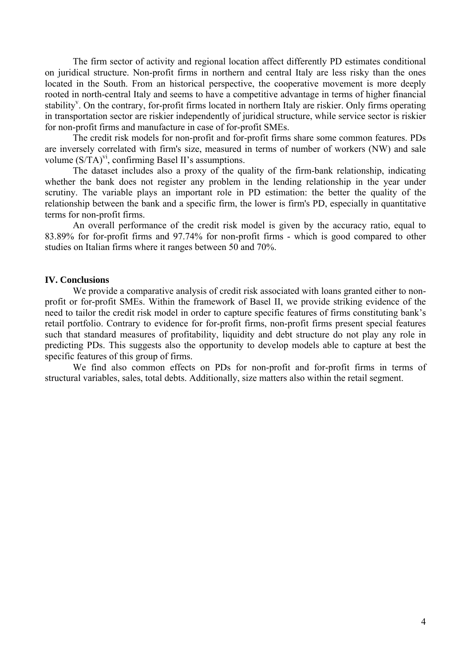The firm sector of activity and regional location affect differently PD estimates conditional on juridical structure. Non-profit firms in northern and central Italy are less risky than the ones located in the South. From an historical perspective, the cooperative movement is more deeply rooted in north-central Italy and seems to have a competitive advantage in terms of higher financial stability<sup>v</sup>. On the contrary, for-profit firms located in northern Italy are riskier. Only firms operating in transportation sector are riskier independently of juridical structure, while service sector is riskier for non-profit firms and manufacture in case of for-profit SMEs.

 The credit risk models for non-profit and for-profit firms share some common features. PDs are inversely correlated with firm's size, measured in terms of number of workers (NW) and sale volume  $(S/TA)^{VI}$ , confirming Basel II's assumptions.

 The dataset includes also a proxy of the quality of the firm-bank relationship, indicating whether the bank does not register any problem in the lending relationship in the year under scrutiny. The variable plays an important role in PD estimation: the better the quality of the relationship between the bank and a specific firm, the lower is firm's PD, especially in quantitative terms for non-profit firms.

 An overall performance of the credit risk model is given by the accuracy ratio, equal to 83.89% for for-profit firms and 97.74% for non-profit firms - which is good compared to other studies on Italian firms where it ranges between 50 and 70%.

## **IV. Conclusions**

We provide a comparative analysis of credit risk associated with loans granted either to nonprofit or for-profit SMEs. Within the framework of Basel II, we provide striking evidence of the need to tailor the credit risk model in order to capture specific features of firms constituting bank's retail portfolio. Contrary to evidence for for-profit firms, non-profit firms present special features such that standard measures of profitability, liquidity and debt structure do not play any role in predicting PDs. This suggests also the opportunity to develop models able to capture at best the specific features of this group of firms.

 We find also common effects on PDs for non-profit and for-profit firms in terms of structural variables, sales, total debts. Additionally, size matters also within the retail segment.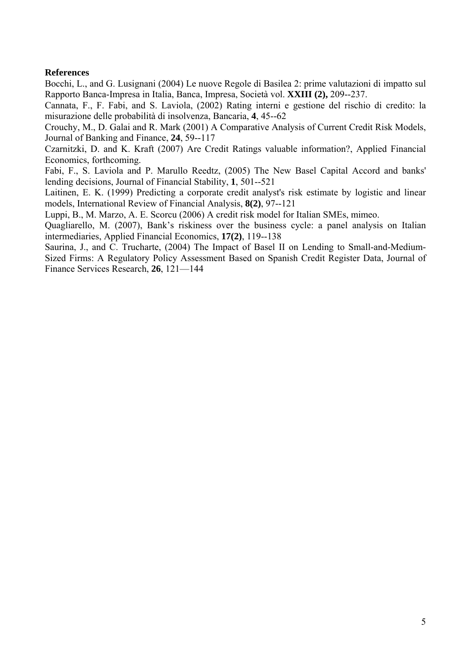# **References**

Bocchi, L., and G. Lusignani (2004) Le nuove Regole di Basilea 2: prime valutazioni di impatto sul Rapporto Banca-Impresa in Italia, Banca, Impresa, Società vol. **XXIII (2),** 209--237.

Cannata, F., F. Fabi, and S. Laviola, (2002) Rating interni e gestione del rischio di credito: la misurazione delle probabilità di insolvenza, Bancaria, **4**, 45--62

Crouchy, M., D. Galai and R. Mark (2001) A Comparative Analysis of Current Credit Risk Models, Journal of Banking and Finance, **24**, 59--117

Czarnitzki, D. and K. Kraft (2007) Are Credit Ratings valuable information?, Applied Financial Economics, forthcoming.

Fabi, F., S. Laviola and P. Marullo Reedtz, (2005) The New Basel Capital Accord and banks' lending decisions, Journal of Financial Stability, **1**, 501--521

Laitinen, E. K. (1999) Predicting a corporate credit analyst's risk estimate by logistic and linear models, International Review of Financial Analysis, **8(2)**, 97--121

Luppi, B., M. Marzo, A. E. Scorcu (2006) A credit risk model for Italian SMEs, mimeo.

Quagliarello, M. (2007), Bank's riskiness over the business cycle: a panel analysis on Italian intermediaries, Applied Financial Economics, **17(2)**, 119--138

Saurina, J., and C. Trucharte, (2004) The Impact of Basel II on Lending to Small-and-Medium-Sized Firms: A Regulatory Policy Assessment Based on Spanish Credit Register Data, Journal of Finance Services Research, **26**, 121—144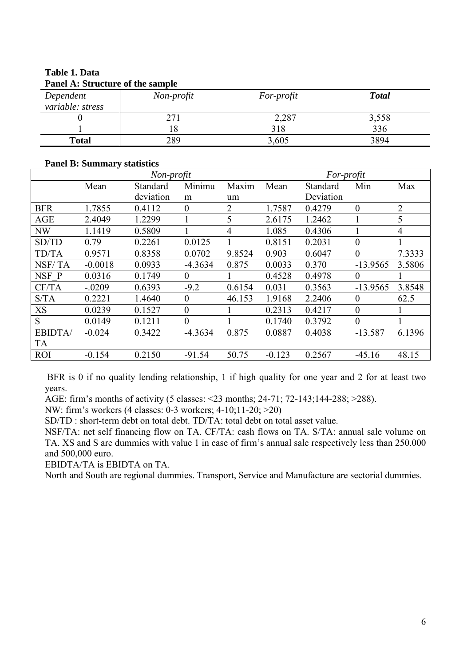| Panel A: Structure of the sample |            |            |              |  |  |  |  |
|----------------------------------|------------|------------|--------------|--|--|--|--|
| Dependent                        | Non-profit | For-profit | <b>Total</b> |  |  |  |  |
| variable: stress                 |            |            |              |  |  |  |  |
|                                  | 271        | 2,287      | 3,558        |  |  |  |  |
|                                  |            | 318        | 336          |  |  |  |  |
| <b>Total</b>                     | 289        | 3,605      | 3894         |  |  |  |  |

# **Table 1. Data Panel A: Structure of the sample**

# **Panel B: Summary statistics**

|               | Non-profit |           |                  | For-profit |          |           |                |                |
|---------------|------------|-----------|------------------|------------|----------|-----------|----------------|----------------|
|               | Mean       | Standard  | Minimu           | Maxim      | Mean     | Standard  | Min            | Max            |
|               |            | deviation | m                | um         |          | Deviation |                |                |
| <b>BFR</b>    | 1.7855     | 0.4112    | $\overline{0}$   | 2          | 1.7587   | 0.4279    | $\overline{0}$ | $\overline{2}$ |
| <b>AGE</b>    | 2.4049     | 1.2299    |                  | 5          | 2.6175   | 1.2462    |                | 5              |
| NW            | 1.1419     | 0.5809    |                  | 4          | 1.085    | 0.4306    |                | 4              |
| SD/TD         | 0.79       | 0.2261    | 0.0125           |            | 0.8151   | 0.2031    | $\overline{0}$ |                |
| <b>TD/TA</b>  | 0.9571     | 0.8358    | 0.0702           | 9.8524     | 0.903    | 0.6047    | 0              | 7.3333         |
| NSF/TA        | $-0.0018$  | 0.0933    | $-4.3634$        | 0.875      | 0.0033   | 0.370     | $-13.9565$     | 3.5806         |
| NSF P         | 0.0316     | 0.1749    | $\theta$         |            | 0.4528   | 0.4978    | $\overline{0}$ |                |
| CF/TA         | $-.0209$   | 0.6393    | $-9.2$           | 0.6154     | 0.031    | 0.3563    | $-13.9565$     | 3.8548         |
| S/TA          | 0.2221     | 1.4640    | $\theta$         | 46.153     | 1.9168   | 2.2406    | $\theta$       | 62.5           |
| $\rm{XS}$     | 0.0239     | 0.1527    | $\boldsymbol{0}$ |            | 0.2313   | 0.4217    | 0              |                |
| S             | 0.0149     | 0.1211    | $\overline{0}$   |            | 0.1740   | 0.3792    | $\theta$       |                |
| <b>EBIDTA</b> | $-0.024$   | 0.3422    | $-4.3634$        | 0.875      | 0.0887   | 0.4038    | $-13.587$      | 6.1396         |
| <b>TA</b>     |            |           |                  |            |          |           |                |                |
| <b>ROI</b>    | $-0.154$   | 0.2150    | $-91.54$         | 50.75      | $-0.123$ | 0.2567    | $-45.16$       | 48.15          |

BFR is 0 if no quality lending relationship, 1 if high quality for one year and 2 for at least two years.

AGE: firm's months of activity (5 classes: <23 months; 24-71; 72-143;144-288; >288).

NW: firm's workers (4 classes: 0-3 workers; 4-10;11-20; >20)

SD/TD : short-term debt on total debt. TD/TA: total debt on total asset value.

NSF/TA: net self financing flow on TA. CF/TA: cash flows on TA. S/TA: annual sale volume on TA. XS and S are dummies with value 1 in case of firm's annual sale respectively less than 250.000 and 500,000 euro.

EBIDTA/TA is EBIDTA on TA.

North and South are regional dummies. Transport, Service and Manufacture are sectorial dummies.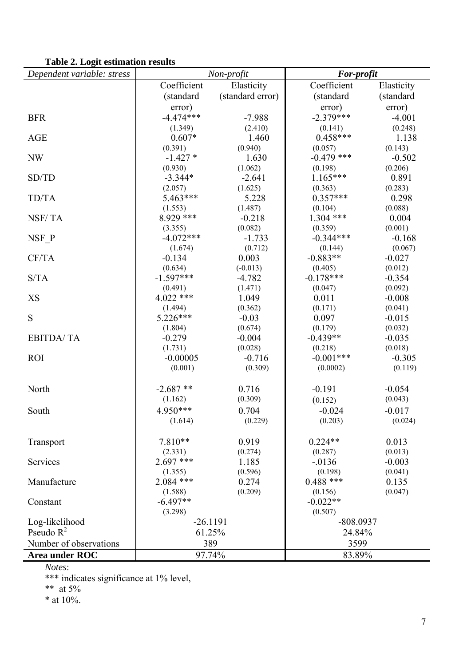# **Table 2. Logit estimation results**

| Dependent variable: stress | $\mathbf{u}$ and $\mathbf{u}$ and $\mathbf{u}$ and $\mathbf{u}$ and $\mathbf{u}$<br>Non-profit |                     | For-profit              |                     |  |
|----------------------------|------------------------------------------------------------------------------------------------|---------------------|-------------------------|---------------------|--|
|                            | Coefficient                                                                                    | Elasticity          | Coefficient             | Elasticity          |  |
|                            | (standard                                                                                      | (standard error)    | (standard               | (standard           |  |
|                            | error)                                                                                         |                     | error)                  | error)              |  |
| <b>BFR</b>                 | $-4.474***$                                                                                    | $-7.988$            | $-2.379***$             | $-4.001$            |  |
|                            | (1.349)                                                                                        | (2.410)             | (0.141)                 | (0.248)             |  |
| <b>AGE</b>                 | $0.607*$                                                                                       | 1.460               | $0.458***$              | 1.138               |  |
|                            | (0.391)                                                                                        | (0.940)             | (0.057)                 | (0.143)             |  |
| <b>NW</b>                  | $-1.427*$                                                                                      | 1.630               | $-0.479$ ***            | $-0.502$            |  |
|                            | (0.930)                                                                                        | (1.062)             | (0.198)                 | (0.206)             |  |
| SD/TD                      | $-3.344*$                                                                                      | $-2.641$            | $1.165***$              | 0.891               |  |
|                            | (2.057)                                                                                        | (1.625)             | (0.363)                 | (0.283)             |  |
| TD/TA                      | 5.463***                                                                                       | 5.228               | $0.357***$              | 0.298               |  |
|                            | (1.553)                                                                                        | (1.487)             | (0.104)                 | (0.088)             |  |
| NSF/TA                     | 8.929 ***                                                                                      | $-0.218$            | $1.304$ ***             | 0.004               |  |
|                            | (3.355)                                                                                        | (0.082)             | (0.359)                 | (0.001)             |  |
| NSF P                      | $-4.072***$                                                                                    | $-1.733$            | $-0.344***$             | $-0.168$            |  |
|                            | (1.674)                                                                                        | (0.712)             | (0.144)                 | (0.067)             |  |
| CF/TA                      | $-0.134$                                                                                       | 0.003               | $-0.883**$              | $-0.027$            |  |
|                            | (0.634)                                                                                        | $(-0.013)$          | (0.405)                 | (0.012)             |  |
| S/TA                       | $-1.597***$                                                                                    | $-4.782$            | $-0.178***$             | $-0.354$            |  |
|                            | (0.491)                                                                                        | (1.471)             | (0.047)                 | (0.092)             |  |
| XS                         | $4.022$ ***                                                                                    | 1.049               | 0.011                   | $-0.008$            |  |
|                            | (1.494)                                                                                        | (0.362)             | (0.171)                 | (0.041)             |  |
| S                          | $5.226***$                                                                                     | $-0.03$             | 0.097                   | $-0.015$            |  |
|                            | (1.804)                                                                                        | (0.674)             | (0.179)                 | (0.032)             |  |
| <b>EBITDA/TA</b>           | $-0.279$                                                                                       | $-0.004$            | $-0.439**$              | $-0.035$            |  |
| <b>ROI</b>                 | (1.731)<br>$-0.00005$                                                                          | (0.028)             | (0.218)<br>$-0.001$ *** | (0.018)<br>$-0.305$ |  |
|                            | (0.001)                                                                                        | $-0.716$<br>(0.309) | (0.0002)                | (0.119)             |  |
|                            |                                                                                                |                     |                         |                     |  |
| North                      | $-2.687**$                                                                                     | 0.716               | $-0.191$                | $-0.054$            |  |
|                            | (1.162)                                                                                        | (0.309)             | (0.152)                 | (0.043)             |  |
| South                      | 4.950***                                                                                       | 0.704               | $-0.024$                | $-0.017$            |  |
|                            | (1.614)                                                                                        | (0.229)             | (0.203)                 | (0.024)             |  |
|                            |                                                                                                |                     |                         |                     |  |
| Transport                  | 7.810**                                                                                        | 0.919               | $0.224**$               | 0.013               |  |
|                            | (2.331)                                                                                        | (0.274)             | (0.287)                 | (0.013)             |  |
| Services                   | $2.697$ ***                                                                                    | 1.185               | $-0.0136$               | $-0.003$            |  |
|                            | (1.355)                                                                                        | (0.596)             | (0.198)                 | (0.041)             |  |
| Manufacture                | $2.084$ ***                                                                                    | 0.274               | $0.488$ ***             | 0.135               |  |
|                            | (1.588)                                                                                        | (0.209)             | (0.156)                 | (0.047)             |  |
| Constant                   | $-6.497**$                                                                                     |                     | $-0.022**$              |                     |  |
|                            | (3.298)                                                                                        |                     | (0.507)                 |                     |  |
| Log-likelihood             | $-26.1191$                                                                                     |                     | -808.0937               |                     |  |
| Pseudo $R^2$               | 61.25%                                                                                         |                     | 24.84%                  |                     |  |
| Number of observations     | 389                                                                                            |                     | 3599                    |                     |  |
| Area under ROC             | 97.74%                                                                                         |                     | 83.89%                  |                     |  |

*Notes*:

\*\*\* indicates significance at 1% level,

\*\* at  $5%$ 

\* at 10%.